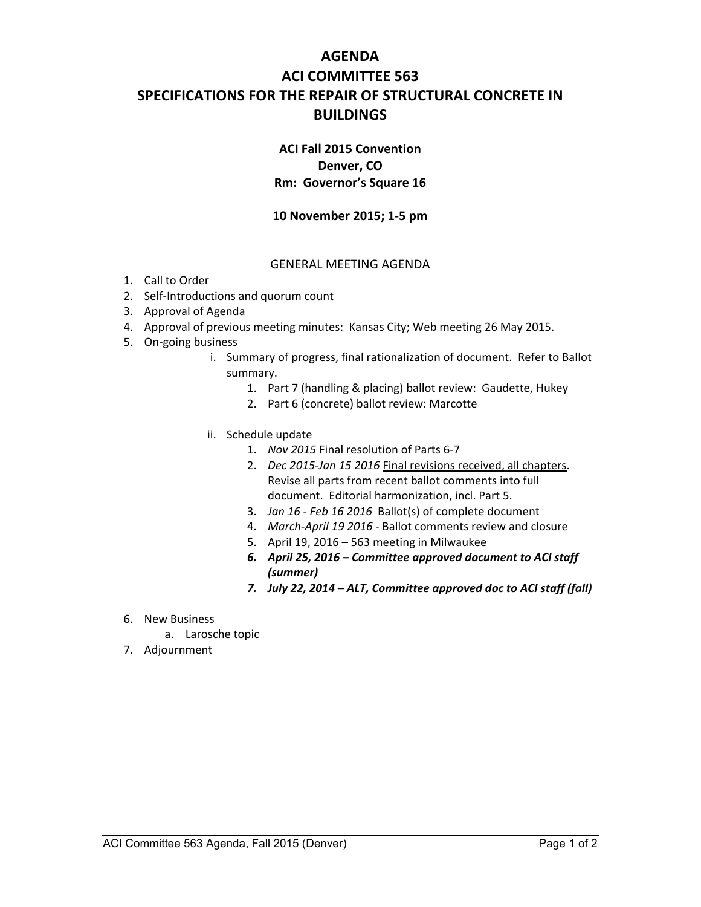# **AGENDA ACI COMMITTEE 563 SPECIFICATIONS FOR THE REPAIR OF STRUCTURAL CONCRETE IN BUILDINGS**

## **ACI Fall 2015 Convention Denver, CO Rm: Governor's Square 16**

### **10 November 2015; 1-5 pm**

#### GENERAL MEETING AGENDA

- 1. Call to Order
- 2. Self-Introductions and quorum count
- 3. Approval of Agenda
- 4. Approval of previous meeting minutes: Kansas City; Web meeting 26 May 2015.
- 5. On-going business
	- i. Summary of progress, final rationalization of document. Refer to Ballot summary.
		- 1. Part 7 (handling & placing) ballot review: Gaudette, Hukey
		- 2. Part 6 (concrete) ballot review: Marcotte
	- ii. Schedule update
		- 1. *Nov 2015* Final resolution of Parts 6-7
		- 2. *Dec 2015-Jan 15 2016* Final revisions received, all chapters. Revise all parts from recent ballot comments into full document. Editorial harmonization, incl. Part 5.
		- 3. *Jan 16 Feb 16 2016* Ballot(s) of complete document
		- 4. *March-April 19 2016* Ballot comments review and closure
		- 5. April 19, 2016 563 meeting in Milwaukee
		- *6. April 25, 2016 Committee approved document to ACI staff (summer)*
		- *7. July 22, 2014 ALT, Committee approved doc to ACI staff (fall)*
- 6. New Business
	- a. Larosche topic
- 7. Adjournment